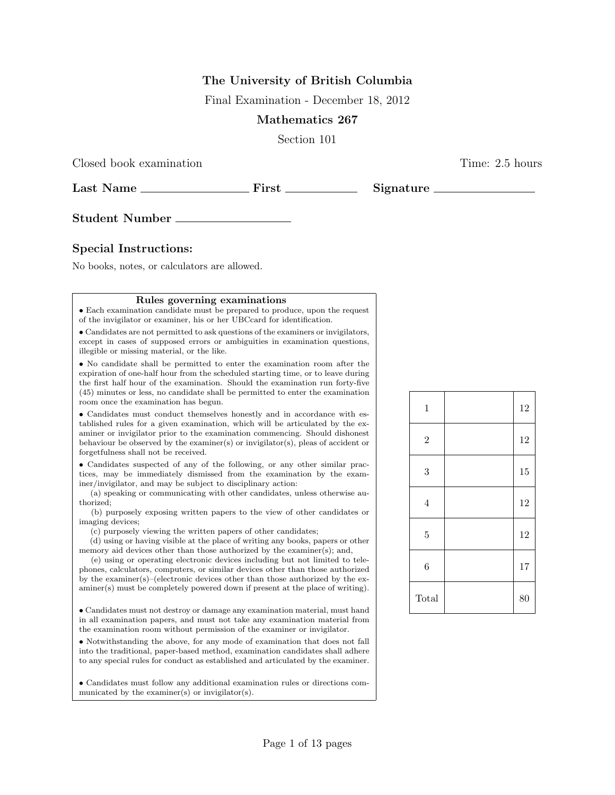# The University of British Columbia

Final Examination - December 18, 2012

# Mathematics 267

Section 101

Last Name First Signature

Closed book examination Time: 2.5 hours

Student Number

# Special Instructions:

No books, notes, or calculators are allowed.

#### Rules governing examinations

• Each examination candidate must be prepared to produce, upon the request of the invigilator or examiner, his or her UBCcard for identification.

• Candidates are not permitted to ask questions of the examiners or invigilators, except in cases of supposed errors or ambiguities in examination questions, illegible or missing material, or the like.

• No candidate shall be permitted to enter the examination room after the expiration of one-half hour from the scheduled starting time, or to leave during the first half hour of the examination. Should the examination run forty-five (45) minutes or less, no candidate shall be permitted to enter the examination room once the examination has begun.

• Candidates must conduct themselves honestly and in accordance with established rules for a given examination, which will be articulated by the examiner or invigilator prior to the examination commencing. Should dishonest behaviour be observed by the examiner(s) or invigilator(s), pleas of accident or forgetfulness shall not be received.

• Candidates suspected of any of the following, or any other similar practices, may be immediately dismissed from the examination by the examiner/invigilator, and may be subject to disciplinary action:

(a) speaking or communicating with other candidates, unless otherwise authorized;

(b) purposely exposing written papers to the view of other candidates or imaging devices;

(c) purposely viewing the written papers of other candidates;

(d) using or having visible at the place of writing any books, papers or other memory aid devices other than those authorized by the examiner(s); and,

(e) using or operating electronic devices including but not limited to telephones, calculators, computers, or similar devices other than those authorized by the examiner(s)–(electronic devices other than those authorized by the examiner(s) must be completely powered down if present at the place of writing).

• Candidates must not destroy or damage any examination material, must hand in all examination papers, and must not take any examination material from the examination room without permission of the examiner or invigilator.

• Notwithstanding the above, for any mode of examination that does not fall into the traditional, paper-based method, examination candidates shall adhere to any special rules for conduct as established and articulated by the examiner.

• Candidates must follow any additional examination rules or directions communicated by the examiner(s) or invigilator(s).

| $\,1$          | 12 |
|----------------|----|
| $\sqrt{2}$     | 12 |
| 3              | 15 |
| $\overline{4}$ | 12 |
| $\overline{5}$ | 12 |
| $\overline{6}$ | 17 |
| Total          | 80 |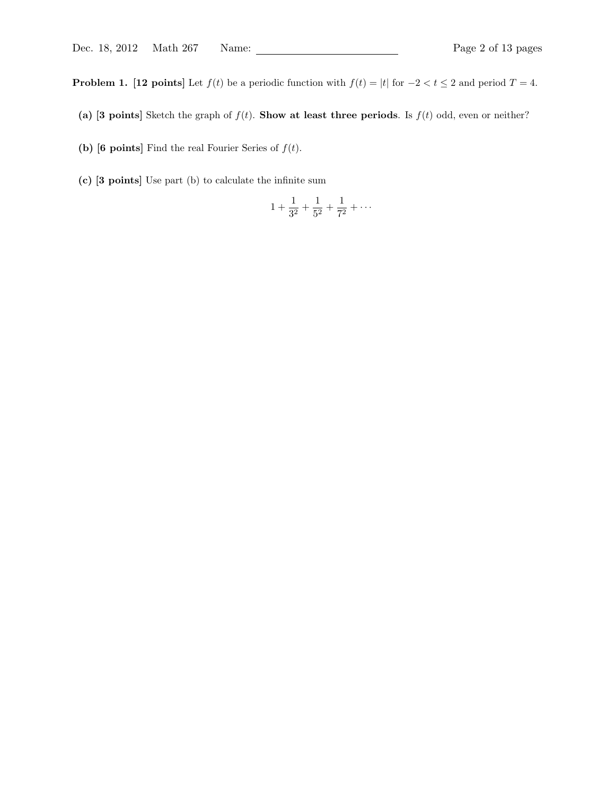**Problem 1.** [12 points] Let  $f(t)$  be a periodic function with  $f(t) = |t|$  for  $-2 < t \le 2$  and period  $T = 4$ .

- (a) [3 points] Sketch the graph of  $f(t)$ . Show at least three periods. Is  $f(t)$  odd, even or neither?
- (b) [6 points] Find the real Fourier Series of  $f(t)$ .
- (c) [3 points] Use part (b) to calculate the infinite sum

$$
1 + \frac{1}{3^2} + \frac{1}{5^2} + \frac{1}{7^2} + \cdots
$$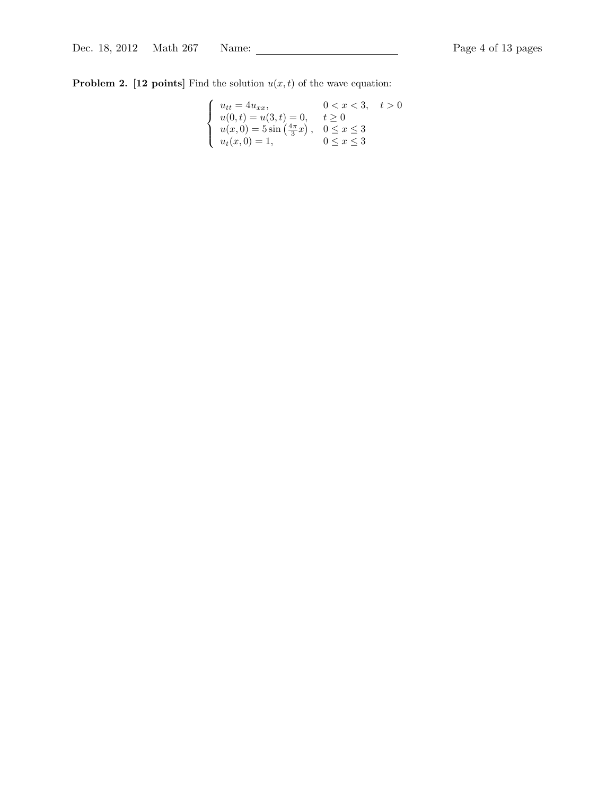**Problem 2.** [12 points] Find the solution  $u(x, t)$  of the wave equation:

$$
\begin{cases}\n u_{tt} = 4u_{xx}, & 0 < x < 3, \quad t > 0 \\
u(0, t) = u(3, t) = 0, & t \ge 0 \\
u(x, 0) = 5\sin\left(\frac{4\pi}{3}x\right), & 0 \le x \le 3 \\
u_t(x, 0) = 1, & 0 \le x \le 3\n\end{cases}
$$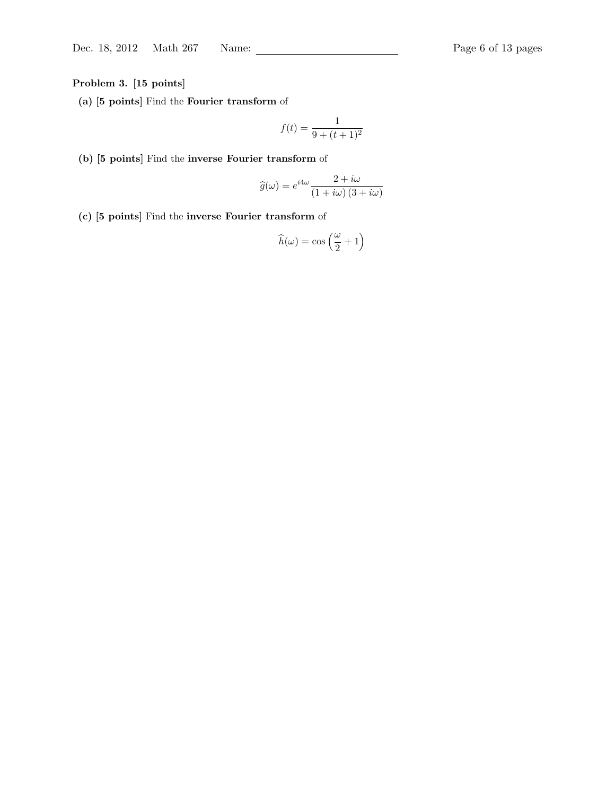Problem 3. [15 points]

(a) [5 points] Find the Fourier transform of

$$
f(t) = \frac{1}{9 + (t+1)^2}
$$

(b) [5 points] Find the inverse Fourier transform of

$$
\widehat{g}(\omega) = e^{i4\omega} \frac{2 + i\omega}{(1 + i\omega)(3 + i\omega)}
$$

(c) [5 points] Find the inverse Fourier transform of

$$
\widehat{h}(\omega)=\cos\left(\frac{\omega}{2}+1\right)
$$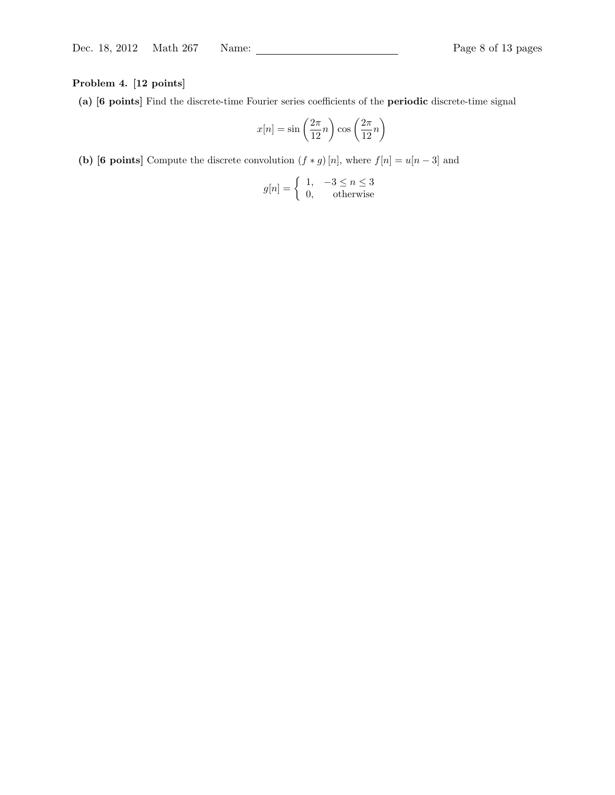# Problem 4. [12 points]

(a) [6 points] Find the discrete-time Fourier series coefficients of the periodic discrete-time signal

$$
x[n] = \sin\left(\frac{2\pi}{12}n\right)\cos\left(\frac{2\pi}{12}n\right)
$$

(b) [6 points] Compute the discrete convolution  $(f * g)[n]$ , where  $f[n] = u[n-3]$  and

$$
g[n] = \begin{cases} 1, & -3 \le n \le 3 \\ 0, & \text{otherwise} \end{cases}
$$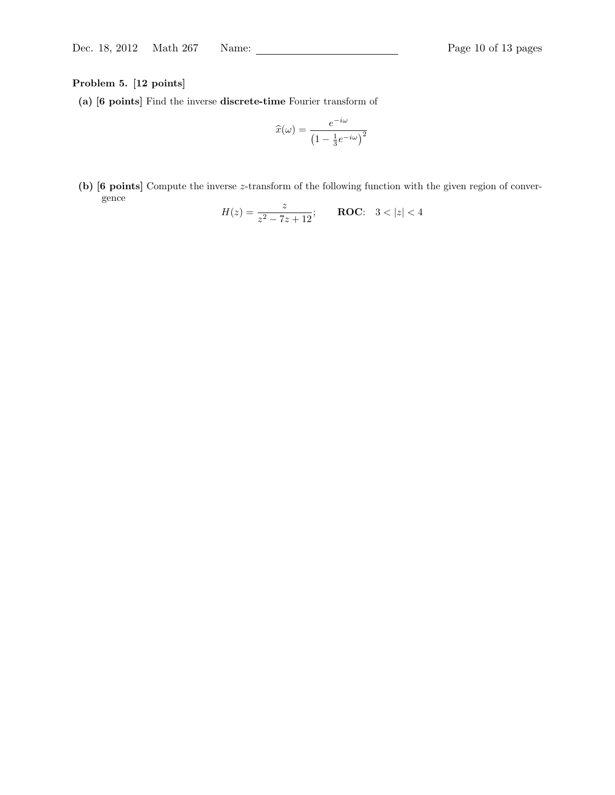# Problem 5. [12 points]

(a) [6 points] Find the inverse discrete-time Fourier transform of

$$
\widehat{x}(\omega) = \frac{e^{-i\omega}}{\left(1 - \frac{1}{3}e^{-i\omega}\right)^2}
$$

(b) [6 points] Compute the inverse z-transform of the following function with the given region of convergence

$$
H(z) = \frac{z}{z^2 - 7z + 12}; \qquad \textbf{ROC:} \quad 3 < |z| < 4
$$